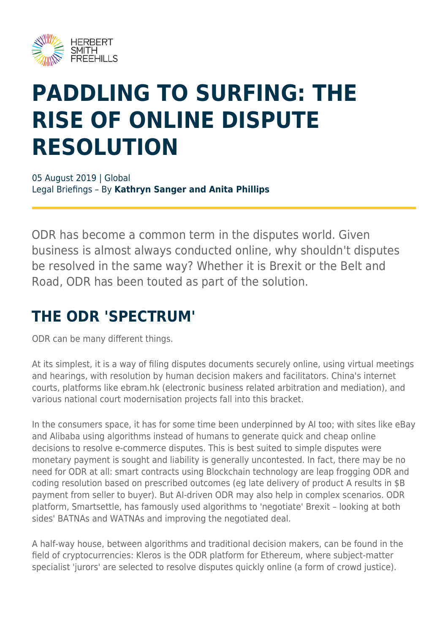

# **PADDLING TO SURFING: THE RISE OF ONLINE DISPUTE RESOLUTION**

05 August 2019 | Global Legal Briefings – By **Kathryn Sanger and Anita Phillips**

ODR has become a common term in the disputes world. Given business is almost always conducted online, why shouldn't disputes be resolved in the same way? Whether it is Brexit or the Belt and Road, ODR has been touted as part of the solution.

#### **THE ODR 'SPECTRUM'**

ODR can be many different things.

At its simplest, it is a way of filing disputes documents securely online, using virtual meetings and hearings, with resolution by human decision makers and facilitators. China's internet courts, platforms like ebram.hk (electronic business related arbitration and mediation), and various national court modernisation projects fall into this bracket.

In the consumers space, it has for some time been underpinned by AI too; with sites like eBay and Alibaba using algorithms instead of humans to generate quick and cheap online decisions to resolve e-commerce disputes. This is best suited to simple disputes were monetary payment is sought and liability is generally uncontested. In fact, there may be no need for ODR at all: smart contracts using Blockchain technology are leap frogging ODR and coding resolution based on prescribed outcomes (eg late delivery of product A results in \$B payment from seller to buyer). But AI-driven ODR may also help in complex scenarios. ODR platform, Smartsettle, has famously used algorithms to 'negotiate' Brexit – looking at both sides' BATNAs and WATNAs and improving the negotiated deal.

A half-way house, between algorithms and traditional decision makers, can be found in the field of cryptocurrencies: Kleros is the ODR platform for Ethereum, where subject-matter specialist 'jurors' are selected to resolve disputes quickly online (a form of crowd justice).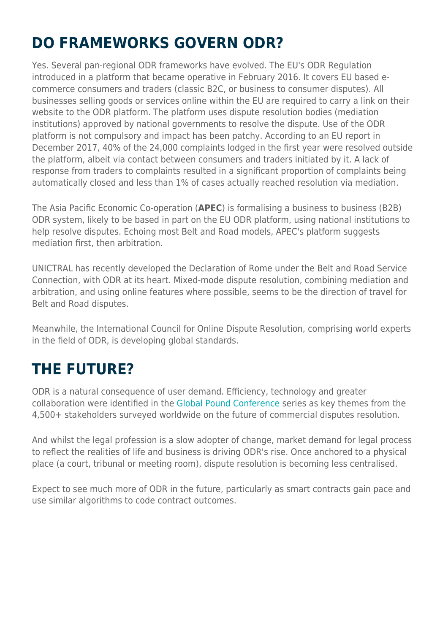## **DO FRAMEWORKS GOVERN ODR?**

Yes. Several pan-regional ODR frameworks have evolved. The EU's ODR Regulation introduced in a platform that became operative in February 2016. It covers EU based ecommerce consumers and traders (classic B2C, or business to consumer disputes). All businesses selling goods or services online within the EU are required to carry a link on their website to the ODR platform. The platform uses dispute resolution bodies (mediation institutions) approved by national governments to resolve the dispute. Use of the ODR platform is not compulsory and impact has been patchy. According to an EU report in December 2017, 40% of the 24,000 complaints lodged in the first year were resolved outside the platform, albeit via contact between consumers and traders initiated by it. A lack of response from traders to complaints resulted in a significant proportion of complaints being automatically closed and less than 1% of cases actually reached resolution via mediation.

The Asia Pacific Economic Co-operation (**APEC**) is formalising a business to business (B2B) ODR system, likely to be based in part on the EU ODR platform, using national institutions to help resolve disputes. Echoing most Belt and Road models, APEC's platform suggests mediation first, then arbitration.

UNICTRAL has recently developed the Declaration of Rome under the Belt and Road Service Connection, with ODR at its heart. Mixed-mode dispute resolution, combining mediation and arbitration, and using online features where possible, seems to be the direction of travel for Belt and Road disputes.

Meanwhile, the International Council for Online Dispute Resolution, comprising world experts in the field of ODR, is developing global standards.

#### **THE FUTURE?**

ODR is a natural consequence of user demand. Efficiency, technology and greater collaboration were identified in the [Global Pound Conference](https://www.herbertsmithfreehills.com/latest-thinking/global-pound-conference-series-redefining-dispute-resolution) series as key themes from the 4,500+ stakeholders surveyed worldwide on the future of commercial disputes resolution.

And whilst the legal profession is a slow adopter of change, market demand for legal process to reflect the realities of life and business is driving ODR's rise. Once anchored to a physical place (a court, tribunal or meeting room), dispute resolution is becoming less centralised.

Expect to see much more of ODR in the future, particularly as smart contracts gain pace and use similar algorithms to code contract outcomes.